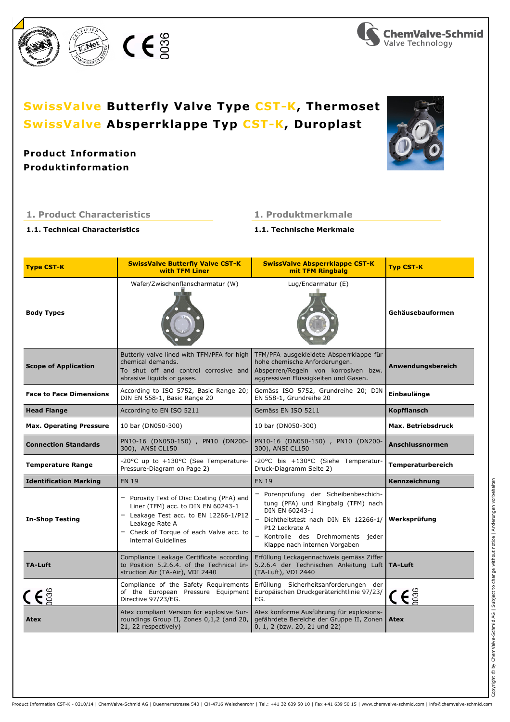

# **Produktinformation Product Information**

## 1. Product Characteristics

1.1. Technical Characteristics

# 1. Produktmerkmale 1.1. Technische Merkmale

| <b>Type CST-K</b>                                                          | <b>SwissValve Butterfly Valve CST-K</b><br><b>with TFM Liner</b>                                                                                                                                             | <b>SwissValve Absperrklappe CST-K</b><br>mit TFM Ringbalg                                                                                                                                                                   | <b>Typ CST-K</b>             |
|----------------------------------------------------------------------------|--------------------------------------------------------------------------------------------------------------------------------------------------------------------------------------------------------------|-----------------------------------------------------------------------------------------------------------------------------------------------------------------------------------------------------------------------------|------------------------------|
| <b>Body Types</b>                                                          | Wafer/Zwischenflanscharmatur (W)                                                                                                                                                                             | Lug/Endarmatur (E)                                                                                                                                                                                                          | Gehäusebauformen             |
| <b>Scope of Application</b>                                                | Butterly valve lined with TFM/PFA for high<br>chemical demands.<br>To shut off and control corrosive and<br>abrasive liquids or gases.                                                                       | TFM/PFA ausgekleidete Absperrklappe für<br>hohe chemische Anforderungen.<br>Absperren/Regeln von korrosiven bzw.<br>aggressiven Flüssigkeiten und Gasen.                                                                    | Anwendungsbereich            |
| <b>Face to Face Dimensions</b>                                             | According to ISO 5752, Basic Range 20;<br>DIN EN 558-1, Basic Range 20                                                                                                                                       | Gemäss ISO 5752, Grundreihe 20; DIN<br>EN 558-1, Grundreihe 20                                                                                                                                                              | Einbaulänge                  |
| <b>Head Flange</b>                                                         | According to EN ISO 5211                                                                                                                                                                                     | Gemäss EN ISO 5211                                                                                                                                                                                                          | <b>Kopfflansch</b>           |
| <b>Max. Operating Pressure</b>                                             | 10 bar (DN050-300)                                                                                                                                                                                           | 10 bar (DN050-300)                                                                                                                                                                                                          | Max. Betriebsdruck           |
| <b>Connection Standards</b>                                                | PN10-16 (DN050-150), PN10 (DN200-<br>300), ANSI CL150                                                                                                                                                        | PN10-16 (DN050-150), PN10 (DN200-<br>300), ANSI CL150                                                                                                                                                                       | <b>Anschlussnormen</b>       |
| <b>Temperature Range</b>                                                   | -20°C up to +130°C (See Temperature-<br>Pressure-Diagram on Page 2)                                                                                                                                          | -20°C bis +130°C (Siehe Temperatur-<br>Druck-Diagramm Seite 2)                                                                                                                                                              | Temperaturbereich            |
| <b>Identification Marking</b>                                              | <b>EN 19</b>                                                                                                                                                                                                 | <b>EN 19</b>                                                                                                                                                                                                                | Kennzeichnung                |
| <b>In-Shop Testing</b>                                                     | - Porosity Test of Disc Coating (PFA) and<br>Liner (TFM) acc. to DIN EN 60243-1<br>- Leakage Test acc. to EN 12266-1/P12<br>Leakage Rate A<br>- Check of Torque of each Valve acc. to<br>internal Guidelines | Porenprüfung der Scheibenbeschich-<br>tung (PFA) und Ringbalg (TFM) nach<br>DIN EN 60243-1<br>- Dichtheitstest nach DIN EN 12266-1/<br>P12 Leckrate A<br>- Kontrolle des Drehmoments jeder<br>Klappe nach internen Vorgaben | Werksprüfung                 |
| <b>TA-Luft</b>                                                             | Compliance Leakage Certificate according<br>to Position 5.2.6.4. of the Technical In-<br>struction Air (TA-Air), VDI 2440                                                                                    | Erfüllung Leckagennachweis gemäss Ziffer<br>5.2.6.4 der Technischen Anleitung Luft<br>(TA-Luft), VDI 2440                                                                                                                   | <b>TA-Luft</b>               |
| ( $\epsilon$ $\stackrel{\scriptscriptstyle\circ}{\scriptscriptstyle\circ}$ | Compliance of the Safety Requirements<br>of the European Pressure Equipment<br>Directive 97/23/EG.                                                                                                           | Erfüllung Sicherheitsanforderungen der<br>Europäischen Druckgeräterichtlinie 97/23/<br>EG.                                                                                                                                  | $\mathsf{C}\,\mathsf{E}\,$ g |
| Atex                                                                       | Atex compliant Version for explosive Sur-<br>roundings Group II, Zones 0,1,2 (and 20,<br>21, 22 respectively)                                                                                                | Atex konforme Ausführung für explosions-<br>gefährdete Bereiche der Gruppe II, Zonen<br>0, 1, 2 (bzw. 20, 21 und 22)                                                                                                        | <b>Atex</b>                  |

 $C \in \mathbb{S}^3$ 







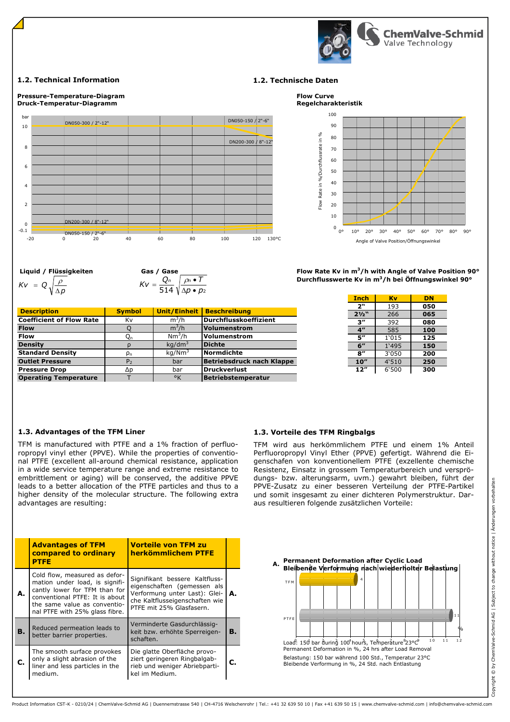

### 1.2. Technical Information 1.2. Technische Daten



Liquid / Flüssigkeiten Gas / Gase  $Kv = Q \sqrt{\frac{\rho}{\Delta p}}$ 

514 \| ∆*p* • *p*2  $Kv = \frac{Q_n}{514} \sqrt{\frac{\rho_n \bullet T}{\Delta p \bullet p}}$  $=\frac{Q_n}{\Gamma} \int \frac{\rho_n}{\rho}$ 

| <b>Description</b>              | <b>Symbol</b>  | Unit/Einheit       | <b>Beschreibung</b>              |
|---------------------------------|----------------|--------------------|----------------------------------|
| <b>Coefficient of Flow Rate</b> | Κv             | $m^3/h$            | <b>Durchflusskoeffizient</b>     |
| <b>Flow</b>                     |                | $m^3/h$            | Volumenstrom                     |
| <b>Flow</b>                     | $Q_n$          | $Nm^3/h$           | Volumenstrom                     |
| <b>Density</b>                  | ρ              | $kq/dm^3$          | <b>Dichte</b>                    |
| <b>Standard Density</b>         | $\rho_n$       | kg/Nm <sup>3</sup> | Normdichte                       |
| <b>Outlet Pressure</b>          | P <sub>2</sub> | bar                | <b>Betriebsdruck nach Klappe</b> |
| <b>Pressure Drop</b>            | Δp             | bar                | <b>Druckverlust</b>              |
| <b>Operating Temperature</b>    |                | °K                 | <b>Betriebstemperatur</b>        |



Durchflusswerte Kv in m<sup>3</sup>/h bei Öffnungswinkel 90° Flow Rate Kv in  $m^3/h$  with Angle of Valve Position 90 $^{\circ}$ 

| Inch             | Kv    | DN  |
|------------------|-------|-----|
| 2"               | 193   | 050 |
| $2\frac{1}{2}$ " | 266   | 065 |
| 3"               | 392   | 080 |
| 4 <sup>''</sup>  | 585   | 100 |
| 5″               | 1'015 | 125 |
| 6"               | 1'495 | 150 |
| 8″               | 3'050 | 200 |
| 10''             | 4'510 | 250 |
| 12"              | 6'500 | 300 |

# 1.3. Advantages of the TFM Liner 1.3. Vorteile des TFM Ringbalgs

TFM is manufactured with PTFE and a 1% fraction of perfluoropropyl vinyl ether (PPVE). While the properties of conventional PTFE (excellent all-around chemical resistance, application in a wide service temperature range and extreme resistance to embrittlement or aging) will be conserved, the additive PPVE leads to a better allocation of the PTFE particles and thus to a higher density of the molecular structure. The following extra advantages are resulting:

|  |  | <b>1.3. VOLTETIE GES TEM RINGBAIGS</b> |
|--|--|----------------------------------------|
|  |  |                                        |

TFM wird aus herkömmlichem PTFE und einem 1% Anteil Perfluoropropyl Vinyl Ether (PPVE) gefertigt. Während die Eigenschafen von konventionellem PTFE (exzellente chemische Resistenz, Einsatz in grossem Temperaturbereich und versprödungs- bzw. alterungsarm, uvm.) gewahrt bleiben, führt der PPVE-Zusatz zu einer besseren Verteilung der PTFE-Partikel und somit insgesamt zu einer dichteren Polymerstruktur. Daraus resultieren folgende zusätzlichen Vorteile:

|    | <b>Advantages of TFM</b><br>compared to ordinary<br><b>PTFE</b>                                                                                                                                      | <b>Vorteile von TFM zu</b><br>herkömmlichem PTFE                                                                                                             |    |  |  |  |  |
|----|------------------------------------------------------------------------------------------------------------------------------------------------------------------------------------------------------|--------------------------------------------------------------------------------------------------------------------------------------------------------------|----|--|--|--|--|
| А. | Cold flow, measured as defor-<br>mation under load, is signifi-<br>cantly lower for TFM than for<br>conventional PTFE: It is about<br>the same value as conventio-<br>nal PTFE with 25% glass fibre. | Signifikant bessere Kaltfluss-<br>eigenschaften (gemessen als<br>Verformung unter Last): Glei-<br>che Kaltflusseigenschaften wie<br>PTFE mit 25% Glasfasern. | А. |  |  |  |  |
| В. | Reduced permeation leads to<br>better barrier properties.                                                                                                                                            | Verminderte Gasdurchlässig-<br>keit bzw. erhöhte Sperreigen-<br>schaften.                                                                                    | В. |  |  |  |  |
|    | The smooth surface provokes<br>only a slight abrasion of the<br>liner and less particles in the<br>medium.                                                                                           | Die glatte Oberfläche provo-<br>ziert geringeren Ringbalgab-<br>rieb und weniger Abriebparti-<br>kel im Medium.                                              | С. |  |  |  |  |

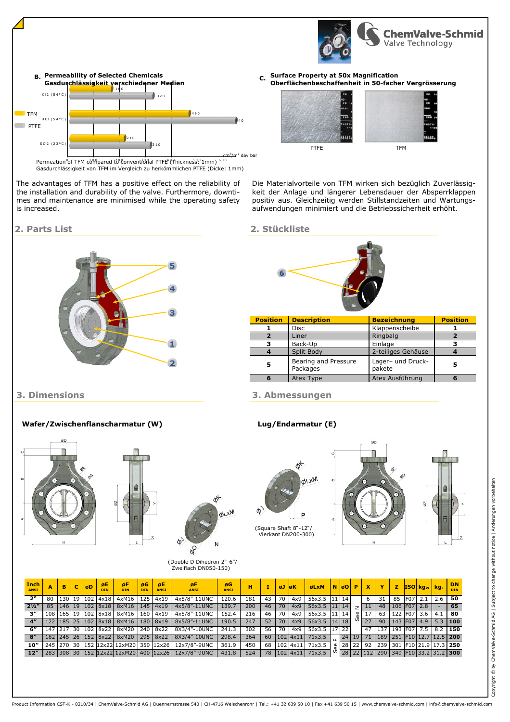

C. Surface Property at 50x Magnification Oberflächenbeschaffenheit in 50-facher Vergrösserung



Die Materialvorteile von TFM wirken sich bezüglich Zuverlässigkeit der Anlage und längerer Lebensdauer der Absperrklappen positiv aus. Gleichzeitig werden Stillstandzeiten und Wartungsaufwendungen minimiert und die Betriebssicherheit erhöht.

### 2. Parts List 2. Stückliste

6 4 0

/m<sup>2</sup> day bar

4 6 0



| <b>Position</b> | <b>Description</b>               | <b>Bezeichnung</b>          | <b>Position</b> |
|-----------------|----------------------------------|-----------------------------|-----------------|
|                 | <b>Disc</b>                      | Klappenscheibe              |                 |
|                 | Liner                            | Ringbalg                    |                 |
|                 | Back-Up                          | Einlage                     |                 |
|                 | Split Body                       | 2-teiliges Gehäuse          |                 |
| 5               | Bearing and Pressure<br>Packages | Lager- und Druck-<br>pakete | 5               |
|                 | Atex Type                        | Atex Ausführung             |                 |

## 3. Dimensions 3. Abmessungen

 $\omega$ 





| <b>Inch</b><br><b>ANSI</b> |    | B | $\mathbf{C}$ | øD | ØE<br><b>DIN</b> | øF.<br><b>DIN</b>                               | øG<br><b>DIN</b> | øE<br><b>ANSI</b> | øF<br><b>ANSI</b>                                  | øG<br><b>ANSI</b> | н   |    | øJ øK |              | <b>GLXM NGOPXY</b> |  |          |           |                 |    |                 | <b>Z</b> ISO kg <sub>w</sub> kg <sub>L</sub>      | DN.<br><b>DIN</b> |
|----------------------------|----|---|--------------|----|------------------|-------------------------------------------------|------------------|-------------------|----------------------------------------------------|-------------------|-----|----|-------|--------------|--------------------|--|----------|-----------|-----------------|----|-----------------|---------------------------------------------------|-------------------|
| 2"                         | 80 |   |              |    |                  | 130 19 102 4x18 4xM16                           | 125              | 4x19              | 4x5/8"-11UNC                                       | 120.6             | 181 | 43 | 70    | 4x9          | 56x3.5 11 14       |  |          | 6         | 31              | 85 | F07 2.1         | 2.6                                               | 50                |
| $2\frac{1}{2}$             |    |   |              |    |                  | 85   146   19   102   8x18   8xM16   145   4x19 |                  |                   | 4x5/8"-11UNC                                       | 139.7             | 200 | 46 | 70    | 4x9          | 56x3.5 11 14       |  |          | 11        |                 |    | 48 106 F07 2.8  |                                                   | 65                |
| $3^{\prime\prime}$         |    |   |              |    |                  | 108 165 19 102 8x18 8xM16 160 4x19              |                  |                   | 4x5/8"-11UNC                                       | 152.4             | 216 | 46 | 70    | 4x9          | 56x3.5 11 14       |  | $\omega$ |           | 63 <sup>1</sup> |    | 122 F07 3.6     | $4.1$ 80                                          |                   |
| $4^{\prime\prime}$         |    |   |              |    |                  | 122 185 25 102 8x18 8xM16 180 8x19              |                  |                   | 8x5/8"-11UNC                                       | 190.5             | 247 | 52 | 70    | 4x9          | $56x3.5$ 14 18     |  |          | $0^{127}$ |                 |    | 90 143 F07 4.9  |                                                   | $5.3$ 100         |
| 6"                         |    |   |              |    |                  |                                                 |                  |                   | 147 217 30 102 8x22 8xM20 240 8x22 8X3/4"-10UNC    | 241.3             | 302 | 56 | 70    | 4x9          | 56x3.5 17 22       |  |          | 47        |                 |    | 137 193 F07 7.5 |                                                   | $8.2$ 150         |
| 8''                        |    |   |              |    |                  | 182 245 26 152 8x22 8xM20 295 8x22              |                  |                   | 8X3/4"-10UNC                                       | 298.4             | 364 | 60 |       | $102$ $4x11$ | $71\times3.5$      |  |          |           |                 |    |                 | 24 19 71 189 251 F10 12.7 12.5 200                |                   |
| $10^{\prime\prime}$        |    |   |              |    |                  |                                                 |                  |                   | 245 270 30 152 12x22 12xM20 350 12x26 12x7/8"-9UNC | 361.9             | 450 |    |       |              | 68 102 4x11 71x3.5 |  |          |           |                 |    |                 | $\frac{1}{28}$ 22 22 92 239 301 F10 21.9 17.3 250 |                   |
| 12"                        |    |   |              |    |                  |                                                 |                  |                   | 283 308 30 152 12x22 12xM20 400 12x26 12x7/8"-9UNC | 431.8             | 524 |    |       |              | 78 102 4x11 71x3.5 |  |          |           |                 |    |                 | 0 28 22 112 290 349 F10 33.2 31.2 300             |                   |



The advantages of TFM has a positive effect on the reliability of the installation and durability of the valve. Furthermore, downtimes and maintenance are minimised while the operating safety

 $210$ 

1 6 0

Gasdurchlässigkeit verschiedener Medien

B. Permeability of Selected Chemicals

 $310$ 

 $\overline{2}$ 

0 1 0 0 2 0 0 3 0 0 4 0 0 5 0 0 6 0 0 cm<sup>3</sup>

Gasdurchlässigkeit von TFM im Vergleich zu herkömmlichen PTFE (Dicke: 1mm) Permeation of TFM compared to conventional PTFE (Thickness. 1mm)

3 2 0

is increased.

S O 2  $(23°C)$ 

 $H C I (54°C)$ 

**TFM PTFE** 

 $C12 (54°)$ 

Wafer/Zwischenflanscharmatur (W) Lug/Endarmatur (E)







### (Double D Dihedron 2"-6"/ Zweiflach DN050-150)



(Square Shaft 8"-12"/ Vierkant DN200-300)

Product Information CST-K - 0210/34 | ChemValve-Schmid AG | Duennernstrasse 540 | CH-4716 Welschenrohr | Tel.: +41 32 639 50 10 | Fax +41 639 50 15 | www.chemvalve-schmid.com | info@chemvalve-schmid.com